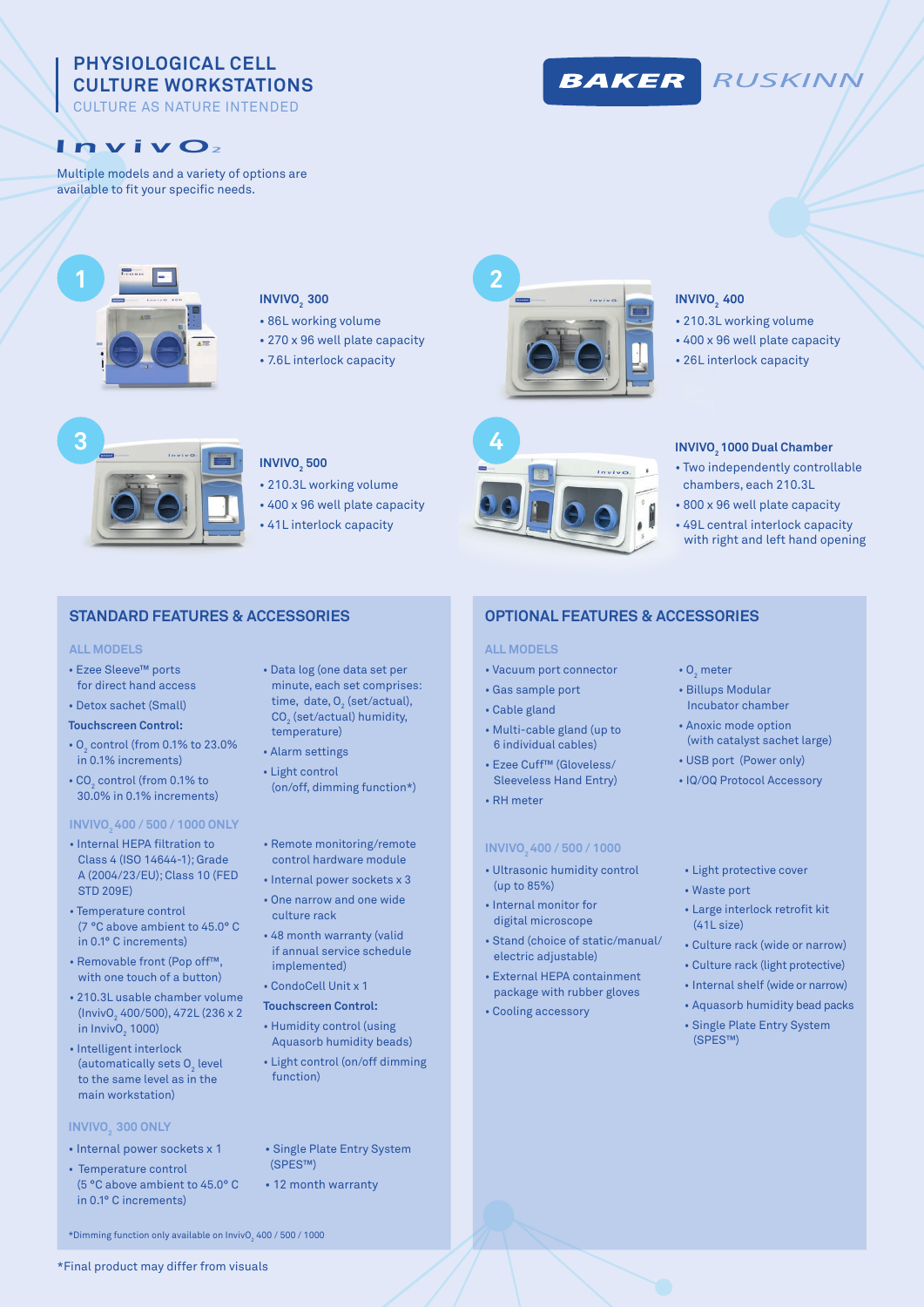# **PHYSIOLOGICAL CELL CULTURE WORKSTATIONS**

CULTURE AS NATURE INTENDED

# Inviv O2

Multiple models and a variety of options are available to fit your specific needs.



### **INVIVO**<sub>2</sub> 300

- 86L working volume
- 270 x 96 well plate capacity
- 7.6L interlock capacity





- 210.3L working volume
- 400 x 96 well plate capacity

*RUSKINN*

• 26L interlock capacity



### **INVIVO<sub>2</sub>** 500

- 210.3L working volume
- 400 x 96 well plate capacity
- 41L interlock capacity

## **STANDARD FEATURES & ACCESSORIES OPTIONAL FEATURES & ACCESSORIES**

#### **ALL MODELS ALL MODELS**

- Ezee Sleeve™ ports for direct hand access
- Detox sachet (Small)
- **Touchscreen Control:**
- $O_2$  control (from 0.1% to 23.0% in 0.1% increments)
- CO $_2$  control (from 0.1% to 30.0% in 0.1% increments)

#### **INVIVO2 400 / 500 / 1000 ONLY**

- Internal HEPA filtration to Class 4 (ISO 14644-1); Grade A (2004/23/EU); Class 10 (FED STD 209E)
- Temperature control (7 °C above ambient to 45.0° C in 0.1° C increments)
- Removable front (Pop off™, with one touch of a button)
- 210.3L usable chamber volume (InvivO<sub>2</sub> 400/500), 472L (236 x 2 in Inviv $O_2$  1000)
- Intelligent interlock (automatically sets  ${\mathsf O}_{_{\!2}}$  level to the same level as in the main workstation)

#### **INVIVO**<sub>2</sub> 300 ONLY

- Internal power sockets x 1
- Temperature control (5 °C above ambient to 45.0° C in 0.1° C increments)
- Data log (one data set per minute, each set comprises: time, date,  $O_2$  (set/actual),  $\mathsf{CO}_2^{\phantom{\dagger}}$  (set/actual) humidity, temperature)
- Alarm settings
- Light control (on/off, dimming function\*)

#### • Remote monitoring/remote

- control hardware module
- Internal power sockets x 3 • One narrow and one wide
- culture rack
- 48 month warranty (valid if annual service schedule implemented)
- CondoCell Unit x 1
- **Touchscreen Control:**
- Humidity control (using Aquasorb humidity beads)
- Light control (on/off dimming function)
- Single Plate Entry System (SPES™)
- 12 month warranty

- Vacuum port connector
- Gas sample port
- Cable gland
- Multi-cable gland (up to 6 individual cables)
- Ezee Cuff™ (Gloveless/ Sleeveless Hand Entry)
- RH meter

#### **INVIVO2 400 / 500 / 1000**

- Ultrasonic humidity control (up to 85%)
- Internal monitor for digital microscope
- Stand (choice of static/manual/ electric adjustable)
- External HEPA containment package with rubber gloves
- Cooling accessory
- $O_2$  meter
- Billups Modular Incubator chamber
- Anoxic mode option (with catalyst sachet large)
- USB port (Power only)
- IQ/OQ Protocol Accessory
- Light protective cover
- Waste port
- Large interlock retrofit kit (41L size)
- Culture rack (wide or narrow)
- Culture rack (light protective)
- Internal shelf (wide or narrow)
- Aquasorb humidity bead packs
- Single Plate Entry System (SPES™)



\*Dimming function only available on InvivO $_2$  400 / 500 / 1000  $\,$ 

# **BAKER**





• 800 x 96 well plate capacity • 49L central interlock capacity with right and left hand opening